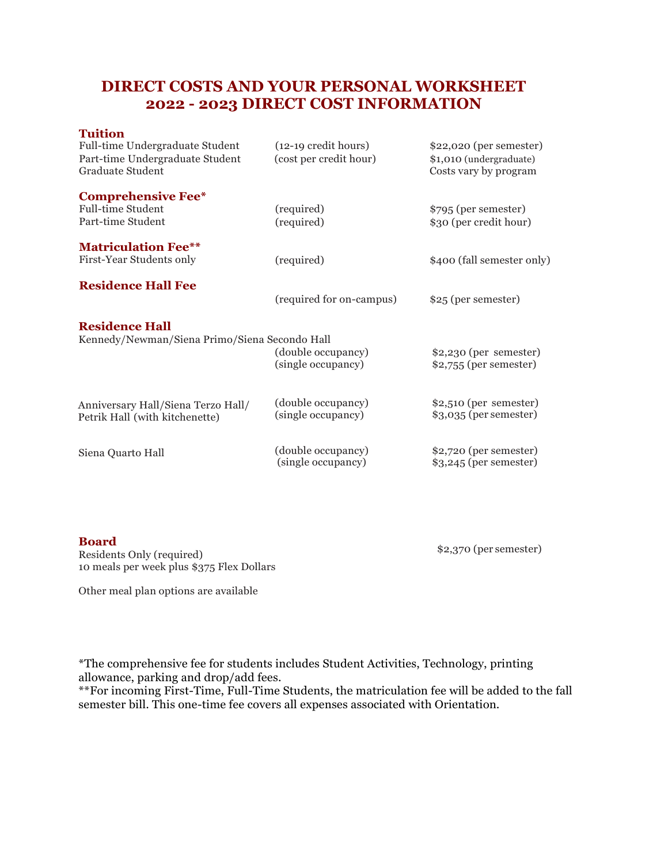## **DIRECT COSTS AND YOUR PERSONAL WORKSHEET 2022 - 2023 DIRECT COST INFORMATION**

## **Tuition**

| Full-time Undergraduate Student<br>Part-time Undergraduate Student<br>Graduate Student | $(12-19 \text{ credit hours})$<br>(cost per credit hour) | \$22,020 (per semester)<br>\$1,010 (undergraduate)<br>Costs vary by program |
|----------------------------------------------------------------------------------------|----------------------------------------------------------|-----------------------------------------------------------------------------|
| <b>Comprehensive Fee*</b>                                                              |                                                          |                                                                             |
| <b>Full-time Student</b>                                                               | (required)                                               | \$795 (per semester)                                                        |
| Part-time Student                                                                      | (required)                                               | \$30 (per credit hour)                                                      |
| <b>Matriculation Fee**</b>                                                             |                                                          |                                                                             |
| First-Year Students only                                                               | (required)                                               | \$400 (fall semester only)                                                  |
| <b>Residence Hall Fee</b>                                                              | (required for on-campus)                                 | \$25 (per semester)                                                         |
| <b>Residence Hall</b><br>Kennedy/Newman/Siena Primo/Siena Secondo Hall                 | (double occupancy)<br>(single occupancy)                 | $$2,230$ (per semester)<br>$$2,755$ (per semester)                          |
| Anniversary Hall/Siena Terzo Hall/<br>Petrik Hall (with kitchenette)                   | (double occupancy)<br>(single occupancy)                 | $$2,510$ (per semester)<br>$$3,035$ (per semester)                          |
| Siena Quarto Hall                                                                      | (double occupancy)<br>(single occupancy)                 | \$2,720 (per semester)<br>$$3,245$ (per semester)                           |

## **Board**

Residents Only (required) 10 meals per week plus \$375 Flex Dollars \$2,370 (per semester)

Other meal plan options are available

\*The comprehensive fee for students includes Student Activities, Technology, printing allowance, parking and drop/add fees.

\*\*For incoming First-Time, Full-Time Students, the matriculation fee will be added to the fall semester bill. This one-time fee covers all expenses associated with Orientation.